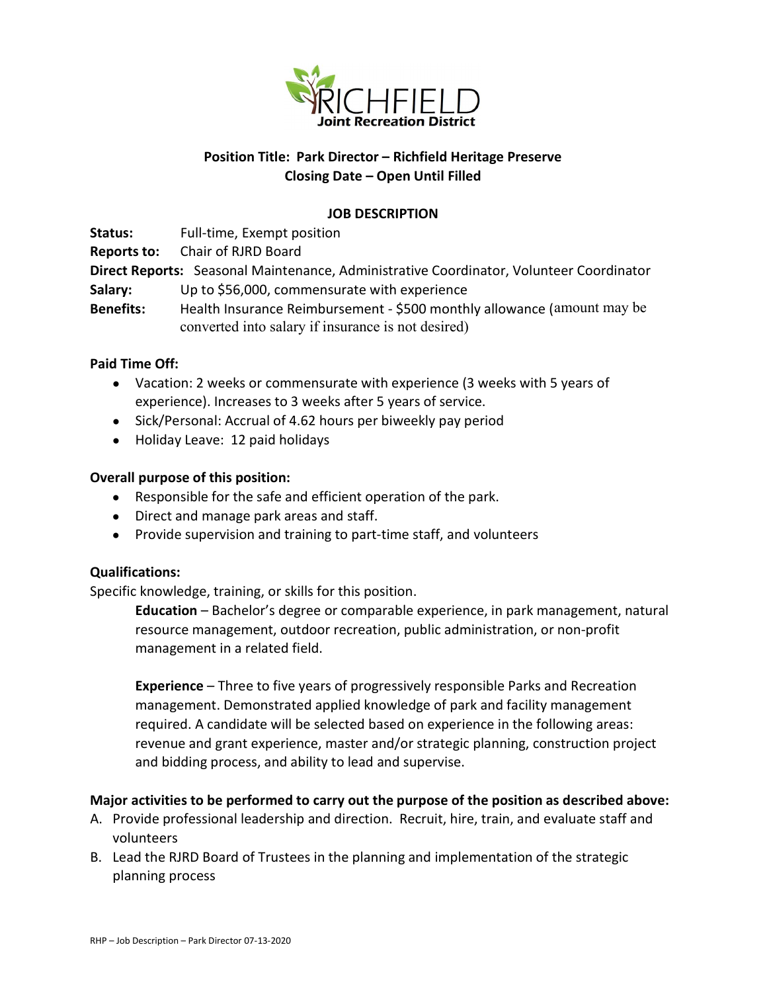

# Position Title: Park Director – Richfield Heritage Preserve Closing Date – Open Until Filled

## JOB DESCRIPTION

Status: Full-time, Exempt position

Reports to: Chair of RJRD Board

Direct Reports: Seasonal Maintenance, Administrative Coordinator, Volunteer Coordinator

- Salary: Up to \$56,000, commensurate with experience
- Benefits: Health Insurance Reimbursement \$500 monthly allowance (amount may be converted into salary if insurance is not desired)

# Paid Time Off:

- Vacation: 2 weeks or commensurate with experience (3 weeks with 5 years of experience). Increases to 3 weeks after 5 years of service.
- Sick/Personal: Accrual of 4.62 hours per biweekly pay period
- Holiday Leave: 12 paid holidays

# Overall purpose of this position:

- Responsible for the safe and efficient operation of the park.
- Direct and manage park areas and staff.
- Provide supervision and training to part-time staff, and volunteers

### Qualifications:

Specific knowledge, training, or skills for this position.

Education – Bachelor's degree or comparable experience, in park management, natural resource management, outdoor recreation, public administration, or non-profit management in a related field.

Experience – Three to five years of progressively responsible Parks and Recreation management. Demonstrated applied knowledge of park and facility management required. A candidate will be selected based on experience in the following areas: revenue and grant experience, master and/or strategic planning, construction project and bidding process, and ability to lead and supervise.

### Major activities to be performed to carry out the purpose of the position as described above:

- A. Provide professional leadership and direction. Recruit, hire, train, and evaluate staff and volunteers
- B. Lead the RJRD Board of Trustees in the planning and implementation of the strategic planning process